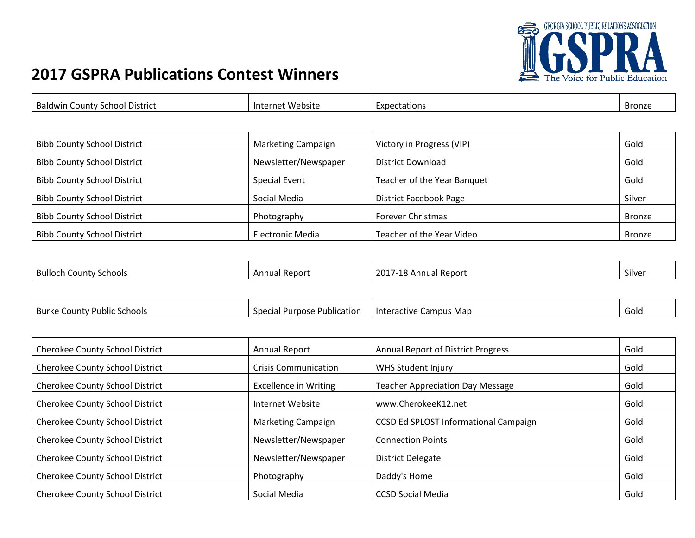

٦

## **2017 GSPRA Publications Contest Winners**

 $\Gamma$ 

| <b>Baldwin County School District</b> | Internet Website          | Expectations                  | Bronze        |
|---------------------------------------|---------------------------|-------------------------------|---------------|
|                                       |                           |                               |               |
| <b>Bibb County School District</b>    | <b>Marketing Campaign</b> | Victory in Progress (VIP)     | Gold          |
| <b>Bibb County School District</b>    | Newsletter/Newspaper      | District Download             | Gold          |
| <b>Bibb County School District</b>    | <b>Special Event</b>      | Teacher of the Year Banquet   | Gold          |
| <b>Bibb County School District</b>    | Social Media              | <b>District Facebook Page</b> | Silver        |
| <b>Bibb County School District</b>    | Photography               | <b>Forever Christmas</b>      | <b>Bronze</b> |
| <b>Bibb County School District</b>    | <b>Electronic Media</b>   | Teacher of the Year Video     | <b>Bronze</b> |

| <b>Bulloch</b><br>' Schools<br>County | l Report<br>Annua | 201 <sup>.</sup><br><b>10</b><br>, Annual Report<br>--<br><u>.</u> | $\sim$<br>Silver |
|---------------------------------------|-------------------|--------------------------------------------------------------------|------------------|
|                                       |                   |                                                                    |                  |

| <b>Burke</b><br>Schools<br>-County Public | <b>Publication</b><br>S<br>-Purpose<br>الەك | ampus Map<br>Interactive | Gold |
|-------------------------------------------|---------------------------------------------|--------------------------|------|
|                                           | one                                         |                          |      |

| <b>Cherokee County School District</b> | Annual Report                | <b>Annual Report of District Progress</b>    | Gold |
|----------------------------------------|------------------------------|----------------------------------------------|------|
| <b>Cherokee County School District</b> | <b>Crisis Communication</b>  | <b>WHS Student Injury</b>                    | Gold |
| <b>Cherokee County School District</b> | <b>Excellence in Writing</b> | <b>Teacher Appreciation Day Message</b>      | Gold |
| <b>Cherokee County School District</b> | Internet Website             | www.CherokeeK12.net                          | Gold |
| <b>Cherokee County School District</b> | Marketing Campaign           | <b>CCSD Ed SPLOST Informational Campaign</b> | Gold |
| <b>Cherokee County School District</b> | Newsletter/Newspaper         | <b>Connection Points</b>                     | Gold |
| <b>Cherokee County School District</b> | Newsletter/Newspaper         | <b>District Delegate</b>                     | Gold |
| <b>Cherokee County School District</b> | Photography                  | Daddy's Home                                 | Gold |
| <b>Cherokee County School District</b> | Social Media                 | <b>CCSD Social Media</b>                     | Gold |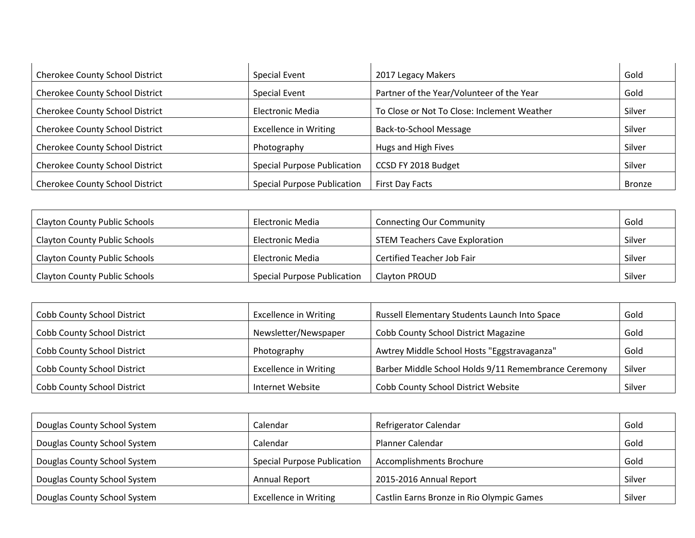| Cherokee County School District        | <b>Special Event</b>               | 2017 Legacy Makers                          | Gold          |
|----------------------------------------|------------------------------------|---------------------------------------------|---------------|
| <b>Cherokee County School District</b> | <b>Special Event</b>               | Partner of the Year/Volunteer of the Year   | Gold          |
| <b>Cherokee County School District</b> | <b>Electronic Media</b>            | To Close or Not To Close: Inclement Weather | Silver        |
| Cherokee County School District        | <b>Excellence in Writing</b>       | <b>Back-to-School Message</b>               | Silver        |
| <b>Cherokee County School District</b> | Photography                        | Hugs and High Fives                         | Silver        |
| <b>Cherokee County School District</b> | <b>Special Purpose Publication</b> | CCSD FY 2018 Budget                         | Silver        |
| <b>Cherokee County School District</b> | <b>Special Purpose Publication</b> | First Day Facts                             | <b>Bronze</b> |

| <b>Clayton County Public Schools</b> | Electronic Media                   | <b>Connecting Our Community</b>       | Gold   |
|--------------------------------------|------------------------------------|---------------------------------------|--------|
| Clayton County Public Schools        | Electronic Media                   | <b>STEM Teachers Cave Exploration</b> | Silver |
| <b>Clayton County Public Schools</b> | Electronic Media                   | Certified Teacher Job Fair            | Silver |
| <b>Clayton County Public Schools</b> | <b>Special Purpose Publication</b> | Clayton PROUD                         | Silver |

| Cobb County School District | <b>Excellence in Writing</b> | Russell Elementary Students Launch Into Space        | Gold   |
|-----------------------------|------------------------------|------------------------------------------------------|--------|
| Cobb County School District | Newsletter/Newspaper         | Cobb County School District Magazine                 | Gold   |
| Cobb County School District | Photography                  | Awtrey Middle School Hosts "Eggstravaganza"          | Gold   |
| Cobb County School District | <b>Excellence in Writing</b> | Barber Middle School Holds 9/11 Remembrance Ceremony | Silver |
| Cobb County School District | Internet Website             | Cobb County School District Website                  | Silver |

| Douglas County School System | Calendar                           | Refrigerator Calendar                     | Gold   |
|------------------------------|------------------------------------|-------------------------------------------|--------|
| Douglas County School System | Calendar                           | Planner Calendar                          | Gold   |
| Douglas County School System | <b>Special Purpose Publication</b> | <b>Accomplishments Brochure</b>           | Gold   |
| Douglas County School System | <b>Annual Report</b>               | 2015-2016 Annual Report                   | Silver |
| Douglas County School System | <b>Excellence in Writing</b>       | Castlin Earns Bronze in Rio Olympic Games | Silver |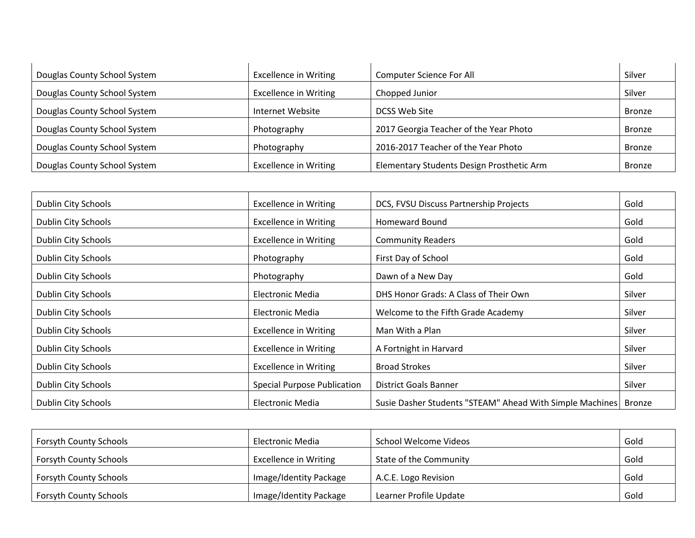| Douglas County School System | <b>Excellence in Writing</b> | <b>Computer Science For All</b>           | Silver        |
|------------------------------|------------------------------|-------------------------------------------|---------------|
| Douglas County School System | <b>Excellence in Writing</b> | Chopped Junior                            | Silver        |
| Douglas County School System | Internet Website             | DCSS Web Site                             | <b>Bronze</b> |
| Douglas County School System | Photography                  | 2017 Georgia Teacher of the Year Photo    | Bronze        |
| Douglas County School System | Photography                  | 2016-2017 Teacher of the Year Photo       | <b>Bronze</b> |
| Douglas County School System | <b>Excellence in Writing</b> | Elementary Students Design Prosthetic Arm | <b>Bronze</b> |

| Dublin City Schools | <b>Excellence in Writing</b>       | DCS, FVSU Discuss Partnership Projects                   | Gold   |
|---------------------|------------------------------------|----------------------------------------------------------|--------|
| Dublin City Schools | <b>Excellence in Writing</b>       | <b>Homeward Bound</b>                                    | Gold   |
| Dublin City Schools | <b>Excellence in Writing</b>       | <b>Community Readers</b>                                 | Gold   |
| Dublin City Schools | Photography                        | First Day of School                                      | Gold   |
| Dublin City Schools | Photography                        | Dawn of a New Day                                        | Gold   |
| Dublin City Schools | Electronic Media                   | DHS Honor Grads: A Class of Their Own                    | Silver |
| Dublin City Schools | Electronic Media                   | Welcome to the Fifth Grade Academy                       | Silver |
| Dublin City Schools | <b>Excellence in Writing</b>       | Man With a Plan                                          | Silver |
| Dublin City Schools | <b>Excellence in Writing</b>       | A Fortnight in Harvard                                   | Silver |
| Dublin City Schools | <b>Excellence in Writing</b>       | <b>Broad Strokes</b>                                     | Silver |
| Dublin City Schools | <b>Special Purpose Publication</b> | District Goals Banner                                    | Silver |
| Dublin City Schools | Electronic Media                   | Susie Dasher Students "STEAM" Ahead With Simple Machines | Bronze |

| <b>Forsyth County Schools</b> | Electronic Media             | School Welcome Videos  | Gold |
|-------------------------------|------------------------------|------------------------|------|
| <b>Forsyth County Schools</b> | <b>Excellence in Writing</b> | State of the Community | Gold |
| <b>Forsyth County Schools</b> | Image/Identity Package       | A.C.E. Logo Revision   | Gold |
| <b>Forsyth County Schools</b> | Image/Identity Package       | Learner Profile Update | Gold |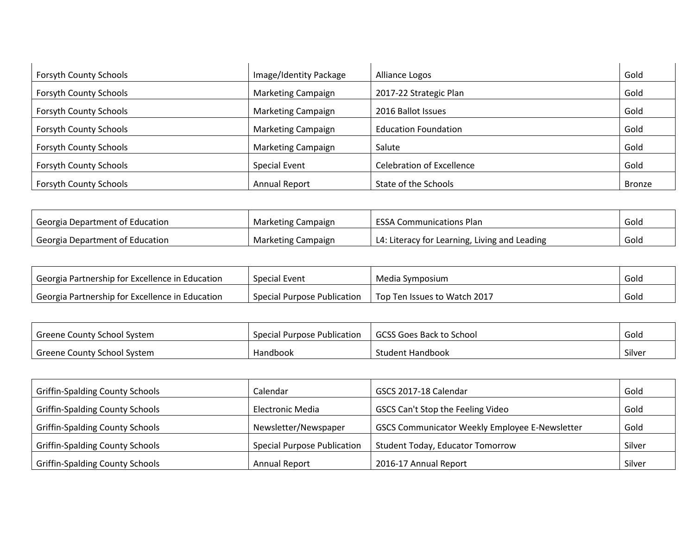| <b>Forsyth County Schools</b> | Image/Identity Package | Alliance Logos                   | Gold          |
|-------------------------------|------------------------|----------------------------------|---------------|
| <b>Forsyth County Schools</b> | Marketing Campaign     | 2017-22 Strategic Plan           | Gold          |
| <b>Forsyth County Schools</b> | Marketing Campaign     | 2016 Ballot Issues               | Gold          |
| <b>Forsyth County Schools</b> | Marketing Campaign     | <b>Education Foundation</b>      | Gold          |
| <b>Forsyth County Schools</b> | Marketing Campaign     | Salute                           | Gold          |
| <b>Forsyth County Schools</b> | <b>Special Event</b>   | <b>Celebration of Excellence</b> | Gold          |
| <b>Forsyth County Schools</b> | <b>Annual Report</b>   | State of the Schools             | <b>Bronze</b> |

| Georgia Department of Education              | Marketing Campaign        | <b>ESSA Communications Plan</b>               | Gold |
|----------------------------------------------|---------------------------|-----------------------------------------------|------|
| <sup>1</sup> Georgia Department of Education | <b>Marketing Campaign</b> | L4: Literacy for Learning, Living and Leading | Gold |

| ' Georgia Partnership for Excellence in Education | Special Event               | Media Symposium              | Gold |
|---------------------------------------------------|-----------------------------|------------------------------|------|
| ' Georgia Partnership for Excellence in Education | Special Purpose Publication | Top Ten Issues to Watch 2017 | Gold |

| Greene County School System | Special Purpose Publication | GCSS Goes Back to School | Gold   |
|-----------------------------|-----------------------------|--------------------------|--------|
| Greene County School System | Handbook                    | Student Handbook         | Silver |

| <b>Griffin-Spalding County Schools</b> | Calendar                           | GSCS 2017-18 Calendar                                 | Gold   |
|----------------------------------------|------------------------------------|-------------------------------------------------------|--------|
| <b>Griffin-Spalding County Schools</b> | Electronic Media                   | GSCS Can't Stop the Feeling Video                     | Gold   |
| <b>Griffin-Spalding County Schools</b> | Newsletter/Newspaper               | <b>GSCS Communicator Weekly Employee E-Newsletter</b> | Gold   |
| <b>Griffin-Spalding County Schools</b> | <b>Special Purpose Publication</b> | <b>Student Today, Educator Tomorrow</b>               | Silver |
| <b>Griffin-Spalding County Schools</b> | <b>Annual Report</b>               | 2016-17 Annual Report                                 | Silver |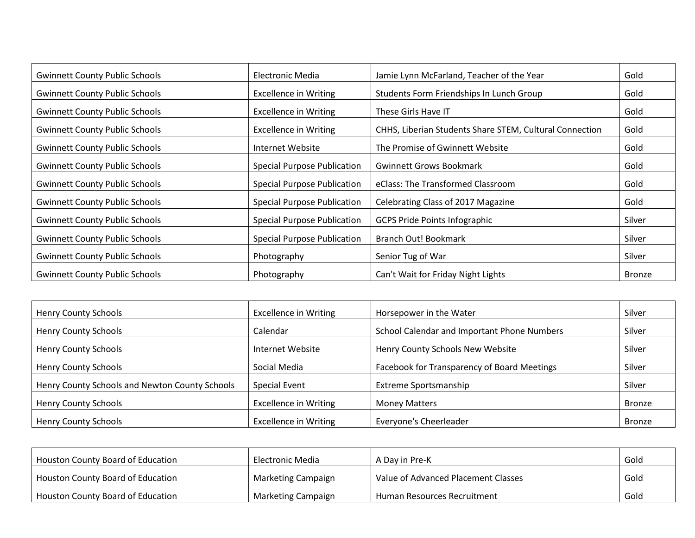| <b>Gwinnett County Public Schools</b> | Electronic Media                   | Jamie Lynn McFarland, Teacher of the Year               | Gold          |
|---------------------------------------|------------------------------------|---------------------------------------------------------|---------------|
| <b>Gwinnett County Public Schools</b> | <b>Excellence in Writing</b>       | Students Form Friendships In Lunch Group                | Gold          |
| <b>Gwinnett County Public Schools</b> | <b>Excellence in Writing</b>       | These Girls Have IT                                     | Gold          |
| <b>Gwinnett County Public Schools</b> | <b>Excellence in Writing</b>       | CHHS, Liberian Students Share STEM, Cultural Connection | Gold          |
| <b>Gwinnett County Public Schools</b> | Internet Website                   | The Promise of Gwinnett Website                         | Gold          |
| <b>Gwinnett County Public Schools</b> | <b>Special Purpose Publication</b> | <b>Gwinnett Grows Bookmark</b>                          | Gold          |
| <b>Gwinnett County Public Schools</b> | <b>Special Purpose Publication</b> | eClass: The Transformed Classroom                       | Gold          |
| <b>Gwinnett County Public Schools</b> | <b>Special Purpose Publication</b> | Celebrating Class of 2017 Magazine                      | Gold          |
| <b>Gwinnett County Public Schools</b> | <b>Special Purpose Publication</b> | <b>GCPS Pride Points Infographic</b>                    | Silver        |
| <b>Gwinnett County Public Schools</b> | <b>Special Purpose Publication</b> | Branch Out! Bookmark                                    | Silver        |
| <b>Gwinnett County Public Schools</b> | Photography                        | Senior Tug of War                                       | Silver        |
| <b>Gwinnett County Public Schools</b> | Photography                        | Can't Wait for Friday Night Lights                      | <b>Bronze</b> |

| <b>Henry County Schools</b>                    | <b>Excellence in Writing</b> | Horsepower in the Water                     | Silver        |
|------------------------------------------------|------------------------------|---------------------------------------------|---------------|
| <b>Henry County Schools</b>                    | Calendar                     | School Calendar and Important Phone Numbers | Silver        |
| <b>Henry County Schools</b>                    | Internet Website             | Henry County Schools New Website            | Silver        |
| <b>Henry County Schools</b>                    | Social Media                 | Facebook for Transparency of Board Meetings | Silver        |
| Henry County Schools and Newton County Schools | Special Event                | Extreme Sportsmanship                       | Silver        |
| <b>Henry County Schools</b>                    | <b>Excellence in Writing</b> | <b>Money Matters</b>                        | <b>Bronze</b> |
| <b>Henry County Schools</b>                    | <b>Excellence in Writing</b> | Everyone's Cheerleader                      | <b>Bronze</b> |

| Houston County Board of Education        | Electronic Media   | A Day in Pre-K                      | Gold |
|------------------------------------------|--------------------|-------------------------------------|------|
| <b>Houston County Board of Education</b> | Marketing Campaign | Value of Advanced Placement Classes | Gold |
| <b>Houston County Board of Education</b> | Marketing Campaign | <b>Human Resources Recruitment</b>  | Gold |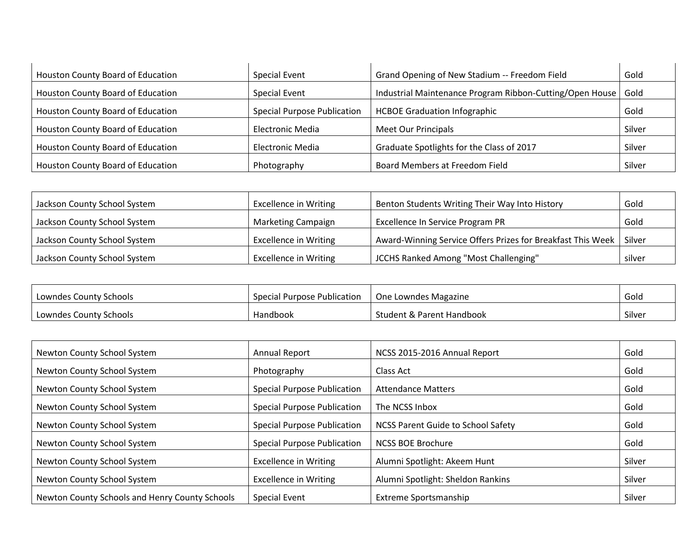| Houston County Board of Education | Special Event                      | Grand Opening of New Stadium -- Freedom Field            | Gold   |
|-----------------------------------|------------------------------------|----------------------------------------------------------|--------|
| Houston County Board of Education | Special Event                      | Industrial Maintenance Program Ribbon-Cutting/Open House | Gold   |
| Houston County Board of Education | <b>Special Purpose Publication</b> | <b>HCBOE Graduation Infographic</b>                      | Gold   |
| Houston County Board of Education | Electronic Media                   | <b>Meet Our Principals</b>                               | Silver |
| Houston County Board of Education | Electronic Media                   | Graduate Spotlights for the Class of 2017                | Silver |
| Houston County Board of Education | Photography                        | Board Members at Freedom Field                           | Silver |

| Jackson County School System | <b>Excellence in Writing</b> | Benton Students Writing Their Way Into History              | Gold   |
|------------------------------|------------------------------|-------------------------------------------------------------|--------|
| Jackson County School System | <b>Marketing Campaign</b>    | Excellence In Service Program PR                            | Gold   |
| Jackson County School System | <b>Excellence in Writing</b> | Award-Winning Service Offers Prizes for Breakfast This Week | Silver |
| Jackson County School System | <b>Excellence in Writing</b> | JCCHS Ranked Among "Most Challenging"                       | silver |

| Lowndes County Schools | Special Purpose Publication | One Lowndes Magazine      | Gold   |
|------------------------|-----------------------------|---------------------------|--------|
| Lowndes County Schools | Handbook                    | Student & Parent Handbook | Silver |

| Newton County School System                    | <b>Annual Report</b>               | NCSS 2015-2016 Annual Report              | Gold   |
|------------------------------------------------|------------------------------------|-------------------------------------------|--------|
| Newton County School System                    | Photography                        | Class Act                                 | Gold   |
| Newton County School System                    | <b>Special Purpose Publication</b> | <b>Attendance Matters</b>                 | Gold   |
| Newton County School System                    | <b>Special Purpose Publication</b> | The NCSS Inbox                            | Gold   |
| Newton County School System                    | <b>Special Purpose Publication</b> | <b>NCSS Parent Guide to School Safety</b> | Gold   |
| Newton County School System                    | <b>Special Purpose Publication</b> | <b>NCSS BOE Brochure</b>                  | Gold   |
| Newton County School System                    | <b>Excellence in Writing</b>       | Alumni Spotlight: Akeem Hunt              | Silver |
| Newton County School System                    | <b>Excellence in Writing</b>       | Alumni Spotlight: Sheldon Rankins         | Silver |
| Newton County Schools and Henry County Schools | Special Event                      | <b>Extreme Sportsmanship</b>              | Silver |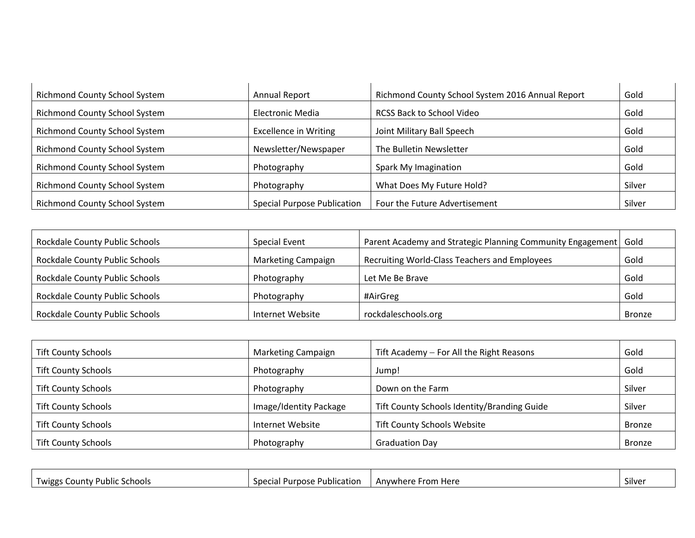| <b>Richmond County School System</b> | <b>Annual Report</b>               | Richmond County School System 2016 Annual Report | Gold   |
|--------------------------------------|------------------------------------|--------------------------------------------------|--------|
| <b>Richmond County School System</b> | Electronic Media                   | RCSS Back to School Video                        | Gold   |
| <b>Richmond County School System</b> | <b>Excellence in Writing</b>       | Joint Military Ball Speech                       | Gold   |
| <b>Richmond County School System</b> | Newsletter/Newspaper               | The Bulletin Newsletter                          | Gold   |
| <b>Richmond County School System</b> | Photography                        | Spark My Imagination                             | Gold   |
| <b>Richmond County School System</b> | Photography                        | What Does My Future Hold?                        | Silver |
| <b>Richmond County School System</b> | <b>Special Purpose Publication</b> | Four the Future Advertisement                    | Silver |

| Rockdale County Public Schools | <b>Special Event</b>      | Parent Academy and Strategic Planning Community Engagement | Gold          |
|--------------------------------|---------------------------|------------------------------------------------------------|---------------|
| Rockdale County Public Schools | <b>Marketing Campaign</b> | Recruiting World-Class Teachers and Employees              | Gold          |
| Rockdale County Public Schools | Photography               | Let Me Be Brave                                            | Gold          |
| Rockdale County Public Schools | Photography               | #AirGreg                                                   | Gold          |
| Rockdale County Public Schools | Internet Website          | rockdaleschools.org                                        | <b>Bronze</b> |

| <b>Tift County Schools</b> | <b>Marketing Campaign</b> | Tift Academy - For All the Right Reasons    | Gold          |
|----------------------------|---------------------------|---------------------------------------------|---------------|
| <b>Tift County Schools</b> | Photography               | Jump!                                       | Gold          |
| <b>Tift County Schools</b> | Photography               | Down on the Farm                            | Silver        |
| <b>Tift County Schools</b> | Image/Identity Package    | Tift County Schools Identity/Branding Guide | Silver        |
| <b>Tift County Schools</b> | Internet Website          | <b>Tift County Schools Website</b>          | <b>Bronze</b> |
| <b>Tift County Schools</b> | Photography               | <b>Graduation Day</b>                       | <b>Bronze</b> |

| Twiggs<br>Schools<br>∪ounty '<br>, Public | . .<br>' Purpose .<br><b>Specia</b><br>e Publication | $5$ rom $\overline{a}$<br>Anvwhere<br>Here | $\sim$<br><b>Silver</b> |
|-------------------------------------------|------------------------------------------------------|--------------------------------------------|-------------------------|
|                                           | Uld.                                                 |                                            |                         |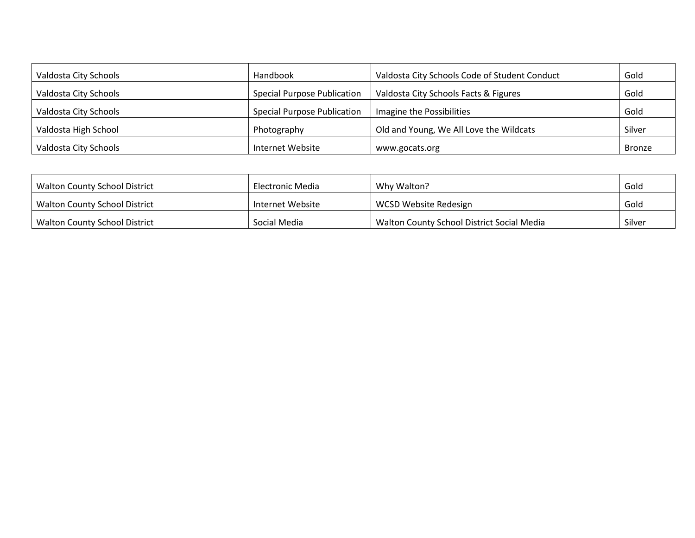| Valdosta City Schools | Handbook                           | Valdosta City Schools Code of Student Conduct | Gold   |
|-----------------------|------------------------------------|-----------------------------------------------|--------|
| Valdosta City Schools | <b>Special Purpose Publication</b> | Valdosta City Schools Facts & Figures         | Gold   |
| Valdosta City Schools | <b>Special Purpose Publication</b> | Imagine the Possibilities                     | Gold   |
| Valdosta High School  | Photography                        | Old and Young, We All Love the Wildcats       | Silver |
| Valdosta City Schools | Internet Website                   | www.gocats.org                                | Bronze |

| Walton County School District | Electronic Media | Why Walton?                                       | Gold   |
|-------------------------------|------------------|---------------------------------------------------|--------|
| Walton County School District | Internet Website | WCSD Website Redesign                             | Gold   |
| Walton County School District | Social Media     | <b>Walton County School District Social Media</b> | Silver |